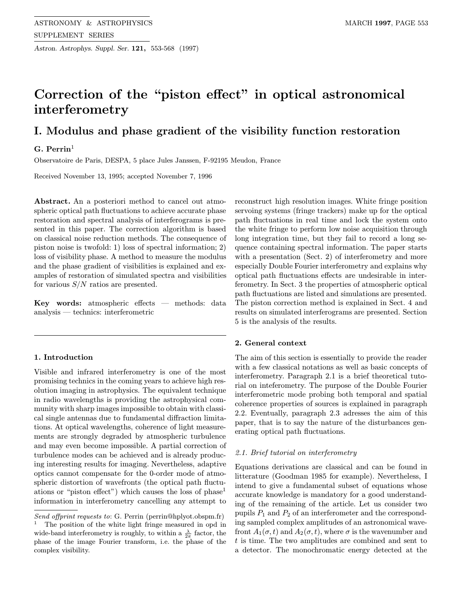Astron. Astrophys. Suppl. Ser. 121, 553-568 (1997)

# Correction of the "piston effect" in optical astronomical interferometry

## I. Modulus and phase gradient of the visibility function restoration

## $G.$  Perrin<sup>1</sup>

Observatoire de Paris, DESPA, 5 place Jules Janssen, F-92195 Meudon, France

Received November 13, 1995; accepted November 7, 1996

Abstract. An a posteriori method to cancel out atmospheric optical path fluctuations to achieve accurate phase restoration and spectral analysis of interferograms is presented in this paper. The correction algorithm is based on classical noise reduction methods. The consequence of piston noise is twofold: 1) loss of spectral information; 2) loss of visibility phase. A method to measure the modulus and the phase gradient of visibilities is explained and examples of restoration of simulated spectra and visibilities for various  $S/N$  ratios are presented.

**Key words:** atmospheric effects  $-$  methods: data analysis — technics: interferometric

#### 1. Introduction

Visible and infrared interferometry is one of the most promising technics in the coming years to achieve high resolution imaging in astrophysics. The equivalent technique in radio wavelengths is providing the astrophysical community with sharp images impossible to obtain with classical single antennas due to fundamental diffraction limitations. At optical wavelengths, coherence of light measurements are strongly degraded by atmospheric turbulence and may even become impossible. A partial correction of turbulence modes can be achieved and is already producing interesting results for imaging. Nevertheless, adaptive optics cannot compensate for the 0-order mode of atmospheric distortion of wavefronts (the optical path fluctuations or "piston effect") which causes the loss of phase<sup>1</sup> information in interferometry cancelling any attempt to reconstruct high resolution images. White fringe position servoing systems (fringe trackers) make up for the optical path fluctuations in real time and lock the system onto the white fringe to perform low noise acquisition through long integration time, but they fail to record a long sequence containing spectral information. The paper starts with a presentation (Sect. 2) of interferometry and more especially Double Fourier interferometry and explains why optical path fluctuations effects are undesirable in interferometry. In Sect. 3 the properties of atmospheric optical path fluctuations are listed and simulations are presented. The piston correction method is explained in Sect. 4 and results on simulated interferograms are presented. Section 5 is the analysis of the results.

#### 2. General context

The aim of this section is essentially to provide the reader with a few classical notations as well as basic concepts of interferometry. Paragraph 2.1 is a brief theoretical tutorial on inteferometry. The purpose of the Double Fourier interferometric mode probing both temporal and spatial coherence properties of sources is explained in paragraph 2.2. Eventually, paragraph 2.3 adresses the aim of this paper, that is to say the nature of the disturbances generating optical path fluctuations.

#### 2.1. Brief tutorial on interferometry

Equations derivations are classical and can be found in litterature (Goodman 1985 for example). Nevertheless, I intend to give a fundamental subset of equations whose accurate knowledge is mandatory for a good understanding of the remaining of the article. Let us consider two pupils  $P_1$  and  $P_2$  of an interferometer and the corresponding sampled complex amplitudes of an astronomical wavefront  $A_1(\sigma, t)$  and  $A_2(\sigma, t)$ , where  $\sigma$  is the wavenumber and t is time. The two amplitudes are combined and sent to a detector. The monochromatic energy detected at the

Send offprint requests to: G. Perrin (perrin@hplyot.obspm.fr)

<sup>1</sup> The position of the white light fringe measured in opd in wide-band interferometry is roughly, to within a  $\frac{\lambda}{2\pi}$  factor, the phase of the image Fourier transform, i.e. the phase of the complex visibility.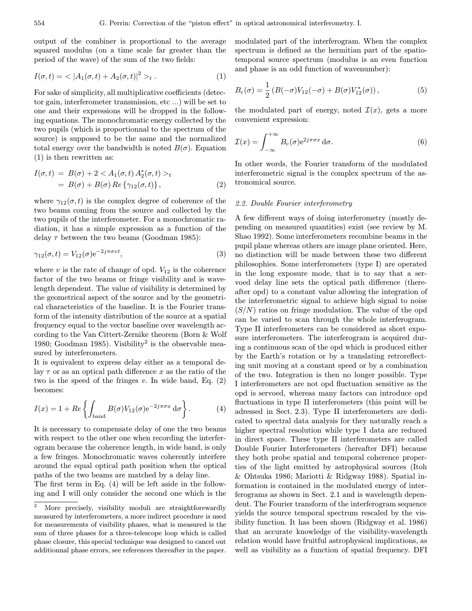output of the combiner is proportional to the average squared modulus (on a time scale far greater than the period of the wave) of the sum of the two fields:

$$
I(\sigma, t) = \langle |A_1(\sigma, t) + A_2(\sigma, t)|^2 \rangle_t . \tag{1}
$$

For sake of simplicity, all multiplicative coefficients (detector gain, interferometer transmission, etc ...) will be set to one and their expressions will be dropped in the following equations. The monochromatic energy collected by the two pupils (which is proportionnal to the spectrum of the source) is supposed to be the same and the normalized total energy over the bandwidth is noted  $B(\sigma)$ . Equation (1) is then rewritten as:

$$
I(\sigma, t) = B(\sigma) + 2 < A_1(\sigma, t) A_2^*(\sigma, t) >_t
$$
  
=  $B(\sigma) + B(\sigma) Re \{ \gamma_{12}(\sigma, t) \},$  (2)

where  $\gamma_{12}(\sigma, t)$  is the complex degree of coherence of the two beams coming from the source and collected by the two pupils of the interferometer. For a monochromatic radiation, it has a simple expression as a function of the delay  $\tau$  between the two beams (Goodman 1985):

$$
\gamma_{12}(\sigma, t) = V_{12}(\sigma) e^{-2j\pi\sigma vt},\tag{3}
$$

where v is the rate of change of opd.  $V_{12}$  is the coherence factor of the two beams or fringe visibility and is wavelength dependent. The value of visibility is determined by the geometrical aspect of the source and by the geometrical characteristics of the baseline. It is the Fourier transform of the intensity distribution of the source at a spatial frequency equal to the vector baseline over wavelength according to the Van Cittert-Zernike theorem (Born & Wolf 1980; Goodman 1985). Visibility<sup>2</sup> is the observable measured by interferometers.

It is equivalent to express delay either as a temporal delay  $\tau$  or as an optical path difference x as the ratio of the two is the speed of the fringes  $v$ . In wide band, Eq.  $(2)$ becomes:

$$
I(x) = 1 + Re \left\{ \int_{\text{band}} B(\sigma) V_{12}(\sigma) e^{-2j\pi\sigma x} d\sigma \right\}.
$$
 (4)

It is necessary to compensate delay of one the two beams with respect to the other one when recording the interferogram because the coherence length, in wide band, is only a few fringes. Monochromatic waves coherently interfere around the equal optical path position when the optical paths of the two beams are matched by a delay line.

The first term in Eq. (4) will be left aside in the following and I will only consider the second one which is the

modulated part of the interferogram. When the complex spectrum is defined as the hermitian part of the spatiotemporal source spectrum (modulus is an even function and phase is an odd function of wavenumber):

$$
B_{\rm c}(\sigma) = \frac{1}{2} \left( B(-\sigma) V_{12}(-\sigma) + B(\sigma) V_{12}^*(\sigma) \right), \tag{5}
$$

the modulated part of energy, noted  $\mathcal{I}(x)$ , gets a more convenient expression:

$$
\mathcal{I}(x) = \int_{-\infty}^{+\infty} B_c(\sigma) e^{2j\pi\sigma x} d\sigma.
$$
 (6)

In other words, the Fourier transform of the modulated interferometric signal is the complex spectrum of the astronomical source.

#### 2.2. Double Fourier interferometry

A few different ways of doing interferometry (mostly depending on measured quantities) exist (see review by M. Shao 1992). Some interferometers recombine beams in the pupil plane whereas others are image plane oriented. Here, no distinction will be made between these two different philosophies. Some interferometers (type I) are operated in the long exposure mode, that is to say that a servoed delay line sets the optical path difference (thereafter opd) to a constant value allowing the integration of the interferometric signal to achieve high signal to noise  $(S/N)$  ratios on fringe modulation. The value of the opd can be varied to scan through the whole interferogram. Type II interferometers can be considered as short exposure interferometers. The interferogram is acquired during a continuous scan of the opd which is produced either by the Earth's rotation or by a translating retroreflecting unit moving at a constant speed or by a combination of the two. Integration is then no longer possible. Type I interferometers are not opd fluctuation sensitive as the opd is servoed, whereas many factors can introduce opd fluctuations in type II interferometers (this point will be adressed in Sect. 2.3). Type II interferometers are dedicated to spectral data analysis for they naturally reach a higher spectral resolution while type I data are reduced in direct space. These type II interferometers are called Double Fourier Interferometers (hereafter DFI) because they both probe spatial and temporal coherence properties of the light emitted by astrophysical sources (Itoh & Ohtsuka 1986; Mariotti & Ridgway 1988). Spatial information is contained in the modulated energy of interferograms as shown in Sect. 2.1 and is wavelength dependent. The Fourier transform of the interferogram sequence yields the source temporal spectrum rescaled by the visibility function. It has been shown (Ridgway et al. 1986) that an accurate knowledge of the visibility-wavelength relation would have fruitful astrophysical implications, as well as visibility as a function of spatial frequency. DFI

<sup>&</sup>lt;sup>2</sup> More precisely, visibility moduli are straightforewardly measured by interferometers, a more indirect procedure is used for measurements of visibility phases, what is measured is the sum of three phases for a three-telescope loop which is called phase closure, this special technique was designed to cancel out additionnal phase errors, see references thereafter in the paper.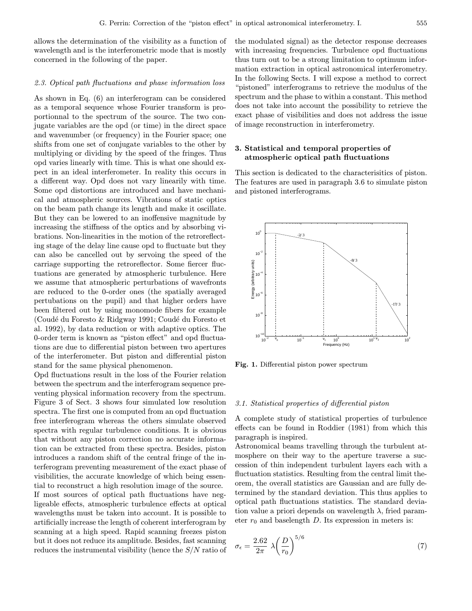allows the determination of the visibility as a function of wavelength and is the interferometric mode that is mostly concerned in the following of the paper.

#### 2.3. Optical path fluctuations and phase information loss

As shown in Eq. (6) an interferogram can be considered as a temporal sequence whose Fourier transform is proportionnal to the spectrum of the source. The two conjugate variables are the opd (or time) in the direct space and wavenumber (or frequency) in the Fourier space; one shifts from one set of conjugate variables to the other by multiplying or dividing by the speed of the fringes. Thus opd varies linearly with time. This is what one should expect in an ideal interferometer. In reality this occurs in a different way. Opd does not vary linearily with time. Some opd distortions are introduced and have mechanical and atmospheric sources. Vibrations of static optics on the beam path change its length and make it oscillate. But they can be lowered to an inoffensive magnitude by increasing the stiffness of the optics and by absorbing vibrations. Non-linearities in the motion of the retroreflecting stage of the delay line cause opd to fluctuate but they can also be cancelled out by servoing the speed of the carriage supporting the retroreflector. Some fiercer fluctuations are generated by atmospheric turbulence. Here we assume that atmospheric perturbations of wavefronts are reduced to the 0-order ones (the spatially averaged pertubations on the pupil) and that higher orders have been filtered out by using monomode fibers for example (Coudé du Foresto & Ridgway 1991; Coudé du Foresto et al. 1992), by data reduction or with adaptive optics. The 0-order term is known as "piston effect" and opd fluctuations are due to differential piston between two apertures of the interferometer. But piston and differential piston stand for the same physical phenomenon.

Opd fluctuations result in the loss of the Fourier relation between the spectrum and the interferogram sequence preventing physical information recovery from the spectrum. Figure 3 of Sect. 3 shows four simulated low resolution spectra. The first one is computed from an opd fluctuation free interferogram whereas the others simulate observed spectra with regular turbulence conditions. It is obvious that without any piston correction no accurate information can be extracted from these spectra. Besides, piston introduces a random shift of the central fringe of the interferogram preventing measurement of the exact phase of visibilities, the accurate knowledge of which being essential to reconstruct a high resolution image of the source. If most sources of optical path fluctuations have negligeable effects, atmospheric turbulence effects at optical wavelengths must be taken into account. It is possible to artificially increase the length of coherent interferogram by scanning at a high speed. Rapid scanning freezes piston but it does not reduce its amplitude. Besides, fast scanning reduces the instrumental visibility (hence the S/N ratio of

the modulated signal) as the detector response decreases with increasing frequencies. Turbulence opd fluctuations thus turn out to be a strong limitation to optimum information extraction in optical astronomical interferometry. In the following Sects. I will expose a method to correct "pistoned" interferograms to retrieve the modulus of the spectrum and the phase to within a constant. This method does not take into account the possibility to retrieve the exact phase of visibilities and does not address the issue of image reconstruction in interferometry.

## 3. Statistical and temporal properties of atmospheric optical path fluctuations

This section is dedicated to the characterisitics of piston. The features are used in paragraph 3.6 to simulate piston and pistoned interferograms.



Fig. 1. Differential piston power spectrum

#### 3.1. Statistical properties of differential piston

A complete study of statistical properties of turbulence effects can be found in Roddier (1981) from which this paragraph is inspired.

Astronomical beams travelling through the turbulent atmosphere on their way to the aperture traverse a succession of thin independent turbulent layers each with a fluctuation statistics. Resulting from the central limit theorem, the overall statistics are Gaussian and are fully determined by the standard deviation. This thus applies to optical path fluctuations statistics. The standard deviation value a priori depends on wavelength  $\lambda$ , fried parameter  $r_0$  and baselength D. Its expression in meters is:

$$
\sigma_{\epsilon} = \frac{2.62}{2\pi} \lambda \left(\frac{D}{r_0}\right)^{5/6} \tag{7}
$$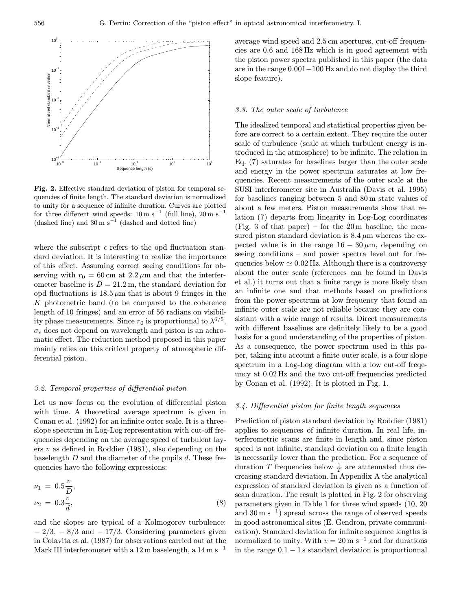

Fig. 2. Effective standard deviation of piston for temporal sequencies of finite length. The standard deviation is normalized to unity for a sequence of infinite duration. Curves are plotted for three different wind speeds:  $10 \text{ m s}^{-1}$  (full line),  $20 \text{ m s}^{-1}$ (dashed line) and  $30 \text{ m s}^{-1}$  (dashed and dotted line)

where the subscript  $\epsilon$  refers to the opd fluctuation standard deviation. It is interesting to realize the importance of this effect. Assuming correct seeing conditions for observing with  $r_0 = 60 \text{ cm}$  at  $2.2 \mu \text{m}$  and that the interferometer baseline is  $D = 21.2$  m, the standard deviation for opd fluctuations is  $18.5 \mu m$  that is about 9 fringes in the K photometric band (to be compared to the coherence length of 10 fringes) and an error of 56 radians on visibility phase measurements. Since  $r_0$  is proportionnal to  $\lambda^{6/5}$ ,  $\sigma_{\epsilon}$  does not depend on wavelength and piston is an achromatic effect. The reduction method proposed in this paper mainly relies on this critical property of atmospheric differential piston.

#### 3.2. Temporal properties of differential piston

Let us now focus on the evolution of differential piston with time. A theoretical average spectrum is given in Conan et al. (1992) for an infinite outer scale. It is a threeslope spectrum in Log-Log representation with cut-off frequencies depending on the average speed of turbulent layers  $v$  as defined in Roddier (1981), also depending on the baselength  $D$  and the diameter of the pupils  $d$ . These frequencies have the following expressions:

$$
\nu_1 = 0.5 \frac{v}{D}, \n\nu_2 = 0.3 \frac{v}{d},
$$
\n(8)

and the slopes are typical of a Kolmogorov turbulence:  $-2/3$ ,  $-8/3$  and  $-17/3$ . Considering parameters given in Colavita et al. (1987) for observations carried out at the Mark III interferometer with a  $12 \text{ m}$  baselength, a  $14 \text{ m s}^{-1}$ 

average wind speed and 2.5 cm apertures, cut-off frequencies are 0.6 and 168 Hz which is in good agreement with the piston power spectra published in this paper (the data are in the range 0.001−100 Hz and do not display the third slope feature).

#### 3.3. The outer scale of turbulence

The idealized temporal and statistical properties given before are correct to a certain extent. They require the outer scale of turbulence (scale at which turbulent energy is introduced in the atmosphere) to be infinite. The relation in Eq. (7) saturates for baselines larger than the outer scale and energy in the power spectrum saturates at low frequencies. Recent measurements of the outer scale at the SUSI interferometer site in Australia (Davis et al. 1995) for baselines ranging between 5 and 80 m state values of about a few meters. Piston measurements show that relation (7) departs from linearity in Log-Log coordinates (Fig. 3 of that paper) – for the  $20 \text{ m}$  baseline, the measured piston standard deviation is  $8.4 \mu m$  whereas the expected value is in the range  $16 - 30 \,\mu \text{m}$ , depending on seeing conditions – and power spectra level out for frequencies below  $\simeq 0.02$  Hz. Although there is a controversy about the outer scale (references can be found in Davis et al.) it turns out that a finite range is more likely than an infinite one and that methods based on predictions from the power spectrum at low frequency that found an infinite outer scale are not reliable because they are consistant with a wide range of results. Direct measurements with different baselines are definitely likely to be a good basis for a good understanding of the properties of piston. As a consequence, the power spectrum used in this paper, taking into account a finite outer scale, is a four slope spectrum in a Log-Log diagram with a low cut-off freqeuncy at 0.02 Hz and the two cut-off frequencies predicted by Conan et al. (1992). It is plotted in Fig. 1.

#### 3.4. Differential piston for finite length sequences

Prediction of piston standard deviation by Roddier (1981) applies to sequences of infinite duration. In real life, interferometric scans are finite in length and, since piston speed is not infinite, standard deviation on a finite length is necessarily lower than the prediction. For a sequence of duration T frequencies below  $\frac{1}{T}$  are attenuated thus decreasing standard deviation. In Appendix A the analytical expression of standard deviation is given as a function of scan duration. The result is plotted in Fig. 2 for observing parameters given in Table 1 for three wind speeds (10, 20 and  $30 \text{ m s}^{-1}$ ) spread across the range of observed speeds in good astronomical sites (E. Gendron, private communication). Standard deviation for infinite sequence lengths is normalized to unity. With  $v = 20 \,\mathrm{m s^{-1}}$  and for durations in the range  $0.1 - 1$  s standard deviation is proportionnal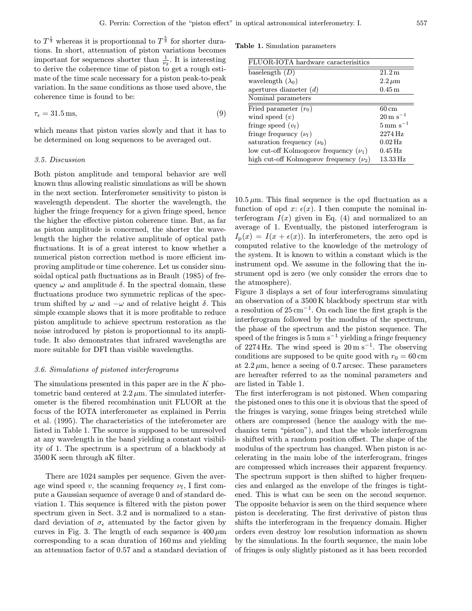to  $T^{\frac{1}{3}}$  whereas it is proportionnal to  $T^{\frac{5}{3}}$  for shorter durations. In short, attenuation of piston variations becomes important for sequences shorter than  $\frac{1}{\nu_2}$ . It is interesting to derive the coherence time of piston to get a rough estimate of the time scale necessary for a piston peak-to-peak variation. In the same conditions as those used above, the coherence time is found to be:

$$
\tau_{\epsilon} = 31.5 \,\text{ms},\tag{9}
$$

which means that piston varies slowly and that it has to be determined on long sequences to be averaged out.

#### 3.5. Discussion

Both piston amplitude and temporal behavior are well known thus allowing realistic simulations as will be shown in the next section. Interferometer sensitivity to piston is wavelength dependent. The shorter the wavelength, the higher the fringe frequency for a given fringe speed, hence the higher the effective piston coherence time. But, as far as piston amplitude is concerned, the shorter the wavelength the higher the relative amplitude of optical path fluctuations. It is of a great interest to know whether a numerical piston correction method is more efficient improving amplitude or time coherence. Let us consider sinusoidal optical path fluctuations as in Brault (1985) of frequency  $\omega$  and amplitude  $\delta$ . In the spectral domain, these fluctuations produce two symmetric replicas of the spectrum shifted by  $\omega$  and  $-\omega$  and of relative height  $\delta$ . This simple example shows that it is more profitable to reduce piston amplitude to achieve spectrum restoration as the noise introduced by piston is proportionnal to its amplitude. It also demonstrates that infrared wavelengths are more suitable for DFI than visible wavelengths.

## 3.6. Simulations of pistoned interferograms

The simulations presented in this paper are in the K photometric band centered at  $2.2 \mu m$ . The simulated interferometer is the fibered recombination unit FLUOR at the focus of the IOTA interferometer as explained in Perrin et al. (1995). The characteristics of the inteferometer are listed in Table 1. The source is supposed to be unresolved at any wavelength in the band yielding a constant visibility of 1. The spectrum is a spectrum of a blackbody at 3500 K seen through aK filter.

There are 1024 samples per sequence. Given the average wind speed v, the scanning frequency  $\nu_f$ , I first compute a Gaussian sequence of average 0 and of standard deviation 1. This sequence is filtered with the piston power spectrum given in Sect. 3.2 and is normalized to a standard deviation of  $\sigma_{\epsilon}$  attenuated by the factor given by curves in Fig. 3. The length of each sequence is  $400 \mu m$ corresponding to a scan duration of 160 ms and yielding an attenuation factor of 0.57 and a standard deviation of

Table 1. Simulation parameters

| FLUOR-IOTA hardware caracterisitics         |                            |  |  |  |
|---------------------------------------------|----------------------------|--|--|--|
| baselength $(D)$                            | 21.2 m                     |  |  |  |
| wavelength $(\lambda_0)$                    | $2.2 \,\mu m$              |  |  |  |
| apertures diameter $(d)$                    | $0.45\,\mathrm{m}$         |  |  |  |
| Nominal parameters                          |                            |  |  |  |
| Fried parameter $(r_0)$                     | 60 cm                      |  |  |  |
| wind speed $(v)$                            | $20 \,\mathrm{m \ s^{-1}}$ |  |  |  |
| fringe speed $(v_f)$                        | $5 \,\mathrm{mm\ s^{-1}}$  |  |  |  |
| fringe frequency $(\nu_f)$                  | 2274 Hz                    |  |  |  |
| saturation frequency $(\nu_0)$              | $0.02$ Hz                  |  |  |  |
| low cut-off Kolmogorov frequency $(\nu_1)$  | $0.45\,\mathrm{Hz}$        |  |  |  |
| high cut-off Kolmogorov frequency $(\nu_2)$ | 13.33 Hz                   |  |  |  |

 $10.5 \mu$ m. This final sequence is the opd fluctuation as a function of opd x:  $\epsilon(x)$ . I then compute the nominal interferogram  $I(x)$  given in Eq. (4) and normalized to an average of 1. Eventually, the pistoned interferogram is  $I_p(x) = I(x + \epsilon(x))$ . In interferometers, the zero opd is computed relative to the knowledge of the metrology of the system. It is known to within a constant which is the instrument opd. We assume in the following that the instrument opd is zero (we only consider the errors due to the atmosphere).

Figure 3 displays a set of four interferograms simulating an observation of a 3500 K blackbody spectrum star with a resolution of  $25 \text{ cm}^{-1}$ . On each line the first graph is the interferogram followed by the modulus of the spectrum, the phase of the spectrum and the piston sequence. The speed of the fringes is  $5 \text{ mm s}^{-1}$  yielding a fringe frequency of 2274 Hz. The wind speed is  $20 \text{ m s}^{-1}$ . The observing conditions are supposed to be quite good with  $r_0 = 60$  cm at  $2.2 \mu m$ , hence a seeing of 0.7 arcsec. These parameters are hereafter referred to as the nominal parameters and are listed in Table 1.

The first interferogram is not pistoned. When comparing the pistoned ones to this one it is obvious that the speed of the fringes is varying, some fringes being stretched while others are compressed (hence the analogy with the mechanics term "piston"), and that the whole interferogram is shifted with a random position offset. The shape of the modulus of the spectrum has changed. When piston is accelerating in the main lobe of the interferogram, fringes are compressed which increases their apparent frequency. The spectrum support is then shifted to higher frequencies and enlarged as the envelope of the fringes is tightened. This is what can be seen on the second sequence. The opposite behavior is seen on the third sequence where piston is decelerating. The first derivative of piston thus shifts the interferogram in the frequency domain. Higher orders even destroy low resolution information as shown by the simulations. In the fourth sequence, the main lobe of fringes is only slightly pistoned as it has been recorded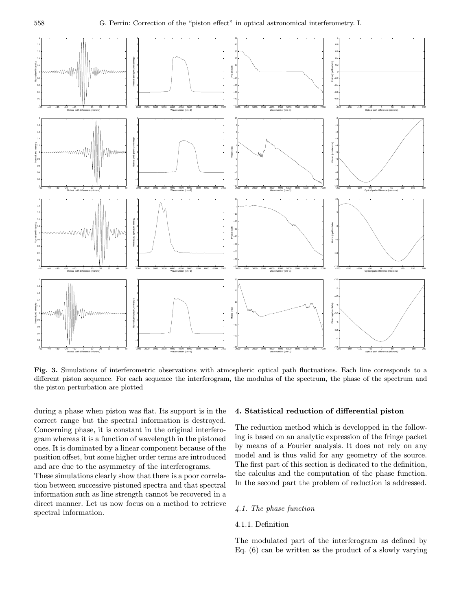

Fig. 3. Simulations of interferometric observations with atmospheric optical path fluctuations. Each line corresponds to a different piston sequence. For each sequence the interferogram, the modulus of the spectrum, the phase of the spectrum and the piston perturbation are plotted

during a phase when piston was flat. Its support is in the correct range but the spectral information is destroyed. Concerning phase, it is constant in the original interferogram whereas it is a function of wavelength in the pistoned ones. It is dominated by a linear component because of the position offset, but some higher order terms are introduced and are due to the asymmetry of the interferograms.

These simulations clearly show that there is a poor correlation between successive pistoned spectra and that spectral information such as line strength cannot be recovered in a direct manner. Let us now focus on a method to retrieve spectral information.

#### 4. Statistical reduction of differential piston

The reduction method which is developped in the following is based on an analytic expression of the fringe packet by means of a Fourier analysis. It does not rely on any model and is thus valid for any geometry of the source. The first part of this section is dedicated to the definition, the calculus and the computation of the phase function. In the second part the problem of reduction is addressed.

## 4.1. The phase function

## 4.1.1. Definition

The modulated part of the interferogram as defined by Eq. (6) can be written as the product of a slowly varying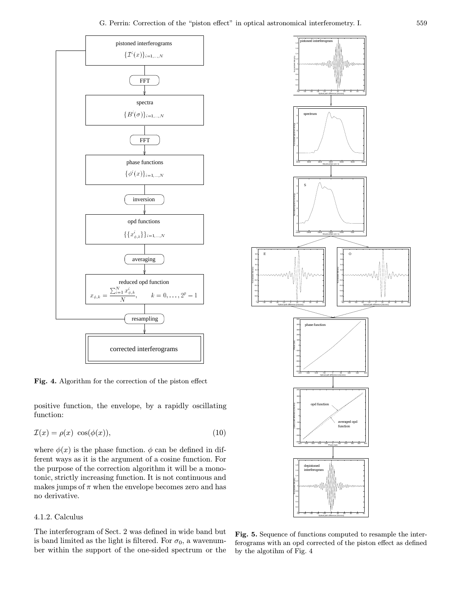−0.8 −0.6 −0.4 −0.2 0.2 0.4 0.6 0.8

Normalized intensity



Fig. 4. Algorithm for the correction of the piston effect

positive function, the envelope, by a rapidly oscillating function:

$$
\mathcal{I}(x) = \rho(x) \cos(\phi(x)),\tag{10}
$$

where  $\phi(x)$  is the phase function.  $\phi$  can be defined in different ways as it is the argument of a cosine function. For the purpose of the correction algorithm it will be a monotonic, strictly increasing function. It is not continuous and makes jumps of  $\pi$  when the envelope becomes zero and has no derivative.

## 4.1.2. Calculus

The interferogram of Sect. 2 was defined in wide band but is band limited as the light is filtered. For  $\sigma_0$ , a wavenumber within the support of the one-sided spectrum or the



Fig. 5. Sequence of functions computed to resample the interferograms with an opd corrected of the piston effect as defined by the algotihm of Fig. 4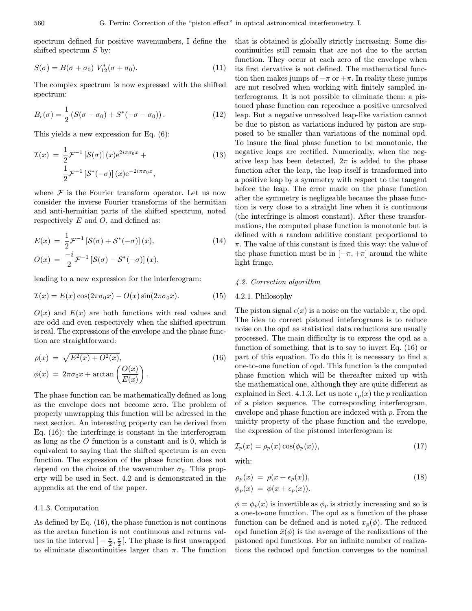spectrum defined for positive wavenumbers, I define the shifted spectrum  $S$  by:

$$
S(\sigma) = B(\sigma + \sigma_0) V_{12}^*(\sigma + \sigma_0).
$$
 (11)

The complex spectrum is now expressed with the shifted spectrum:

$$
B_{\rm c}(\sigma) = \frac{1}{2} \left( S(\sigma - \sigma_0) + S^*(-\sigma - \sigma_0) \right). \tag{12}
$$

This yields a new expression for Eq. (6):

$$
\mathcal{I}(x) = \frac{1}{2} \mathcal{F}^{-1} \left[ \mathcal{S}(\sigma) \right](x) e^{2i\pi\sigma_0 x} +
$$
  

$$
\frac{1}{2} \mathcal{F}^{-1} \left[ \mathcal{S}^*(-\sigma) \right](x) e^{-2i\pi\sigma_0 x},
$$
\n(13)

where  $\mathcal F$  is the Fourier transform operator. Let us now consider the inverse Fourier transforms of the hermitian and anti-hermitian parts of the shifted spectrum, noted respectively  $E$  and  $O$ , and defined as:

$$
E(x) = \frac{1}{2} \mathcal{F}^{-1} \left[ \mathcal{S}(\sigma) + \mathcal{S}^*(-\sigma) \right](x),
$$
  
\n
$$
O(x) = \frac{-i}{2} \mathcal{F}^{-1} \left[ \mathcal{S}(\sigma) - \mathcal{S}^*(-\sigma) \right](x),
$$
\n(14)

leading to a new expression for the interferogram:

$$
\mathcal{I}(x) = E(x)\cos(2\pi\sigma_0 x) - O(x)\sin(2\pi\sigma_0 x). \tag{15}
$$

 $O(x)$  and  $E(x)$  are both functions with real values and are odd and even respectively when the shifted spectrum is real. The expressions of the envelope and the phase function are straightforward:

$$
\rho(x) = \sqrt{E^2(x) + O^2(x)},
$$
  
\n
$$
\phi(x) = 2\pi\sigma_0 x + \arctan\left(\frac{O(x)}{E(x)}\right).
$$
\n(16)

The phase function can be mathematically defined as long as the envelope does not become zero. The problem of properly unwrapping this function will be adressed in the next section. An interesting property can be derived from Eq. (16): the interfringe is constant in the interferogram as long as the O function is a constant and is 0, which is equivalent to saying that the shifted spectrum is an even function. The expression of the phase function does not depend on the choice of the wavenumber  $\sigma_0$ . This property will be used in Sect. 4.2 and is demonstrated in the appendix at the end of the paper.

#### 4.1.3. Computation

As defined by Eq. (16), the phase function is not continous as the arctan function is not continuous and returns values in the interval  $]-\frac{\pi}{2},\frac{\pi}{2}[$ . The phase is first unwrapped to eliminate discontinuities larger than  $\pi$ . The function

that is obtained is globally strictly increasing. Some discontinuities still remain that are not due to the arctan function. They occur at each zero of the envelope when its first dervative is not defined. The mathematical function then makes jumps of  $-\pi$  or  $+\pi$ . In reality these jumps are not resolved when working with finitely sampled interferograms. It is not possible to eliminate them: a pistoned phase function can reproduce a positive unresolved leap. But a negative unresolved leap-like variation cannot be due to piston as variations induced by piston are supposed to be smaller than variations of the nominal opd. To insure the final phase function to be monotonic, the negative leaps are rectified. Numerically, when the negative leap has been detected,  $2\pi$  is added to the phase function after the leap, the leap itself is transformed into a positive leap by a symmetry with respect to the tangent before the leap. The error made on the phase function after the symmetry is negligeable because the phase function is very close to a straight line when it is continuous (the interfringe is almost constant). After these transformations, the computed phase function is monotonic but is defined with a random additive constant proportional to  $\pi$ . The value of this constant is fixed this way: the value of the phase function must be in  $[-\pi, +\pi]$  around the white light fringe.

#### 4.2. Correction algorithm

#### 4.2.1. Philosophy

The piston signal  $\epsilon(x)$  is a noise on the variable x, the opd. The idea to correct pistoned inteferograms is to reduce noise on the opd as statistical data reductions are usually processed. The main difficulty is to express the opd as a function of something, that is to say to invert Eq. (16) or part of this equation. To do this it is necessary to find a one-to-one function of opd. This function is the computed phase function which will be thereafter mixed up with the mathematical one, although they are quite different as explained in Sect. 4.1.3. Let us note  $\epsilon_p(x)$  the p realization of a piston sequence. The corresponding interferogram, envelope and phase function are indexed with p. From the unicity property of the phase function and the envelope, the expression of the pistoned interferogram is:

$$
\mathcal{I}_p(x) = \rho_p(x) \cos(\phi_p(x)),\tag{17}
$$

with:

$$
\rho_p(x) = \rho(x + \epsilon_p(x)),
$$
  
\n
$$
\phi_p(x) = \phi(x + \epsilon_p(x)).
$$
\n(18)

 $\phi = \phi_p(x)$  is invertible as  $\phi_p$  is strictly increasing and so is a one-to-one function. The opd as a function of the phase function can be defined and is noted  $x_p(\phi)$ . The reduced opd function  $\bar{x}(\phi)$  is the average of the realizations of the pistoned opd functions. For an infinite number of realizations the reduced opd function converges to the nominal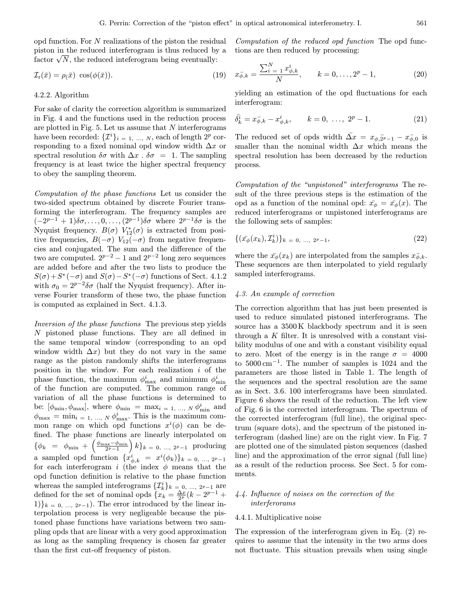opd function. For N realizations of the piston the residual piston in the reduced interferogram is thus reduced by a piston in the reduced interferogram is thus reduced by factor  $\sqrt{N}$ , the reduced inteferogram being eventually:

$$
\mathcal{I}_r(\bar{x}) = \rho(\bar{x}) \cos(\phi(\bar{x})). \tag{19}
$$

#### 4.2.2. Algorithm

For sake of clarity the correction algorithm is summarized in Fig. 4 and the functions used in the reduction process are plotted in Fig.  $5$ . Let us assume that N interferograms have been recorded:  $\{\mathcal{I}^i\}_{i=1,\dots,N}$ , each of length  $2^p$  corresponding to a fixed nominal opd window width  $\Delta x$  or spectral resolution  $\delta \sigma$  with  $\Delta x$ .  $\delta \sigma = 1$ . The sampling frequency is at least twice the higher spectral frequency to obey the sampling theorem.

Computation of the phase functions Let us consider the two-sided spectrum obtained by discrete Fourier transforming the interferogram. The frequency samples are  $(-2^{p-1}+1)\delta\sigma,\ldots,0,\ldots,(2^{p-1})\delta\sigma$  where  $2^{p-1}\delta\sigma$  is the Nyquist frequency.  $B(\sigma)$   $V_{12}^*(\sigma)$  is extracted from positive frequencies,  $B(-\sigma)$   $V_{12}(-\sigma)$  from negative frequencies and conjugated. The sum and the difference of the two are computed.  $2^{p-2} - 1$  and  $2^{p-2}$  long zero sequences are added before and after the two lists to produce the  $S(\sigma)+S^*(-\sigma)$  and  $S(\sigma)-S^*(-\sigma)$  functions of Sect. 4.1.2 with  $\sigma_0 = 2^{p-2}\delta\sigma$  (half the Nyquist frequency). After inverse Fourier transform of these two, the phase function is computed as explained in Sect. 4.1.3.

Inversion of the phase functions The previous step yields N pistoned phase functions. They are all defined in the same temporal window (corresponding to an opd window width  $\Delta x$ ) but they do not vary in the same range as the piston randomly shifts the interferograms position in the window. For each realization  $i$  of the phase function, the maximum  $\phi_{\text{max}}^i$  and minimum  $\phi_{\text{min}}^i$ of the function are computed. The common range of variation of all the phase functions is determined to be:  $[\phi_{\min}, \phi_{\max}]$ , where  $\phi_{\min} = \max_{i=1, ..., N} \phi_{\min}^i$  and  $\phi_{\text{max}} = \min_{i=1, ..., N} \phi_{\text{max}}^i$ . This is the maximum common range on which opd functions  $x^{i}(\phi)$  can be defined. The phase functions are linearly interpolated on  $\{\phi_k = \phi_{\min} + \left(\frac{\phi_{\max} - \phi_{\min}}{2^p - 1}\right)k\}_{k=0, ..., 2^p-1}$  producing a sampled opd function  ${x_{\phi,k}^i = x^i(\phi_k)}_{k=0, \dots, 2^{p-1}}$ for each interferogram i (the index  $\phi$  means that the opd function definition is relative to the phase function whereas the sampled inteferograms  $\{\mathcal{I}_k^i\}_{k=0,\dots, 2^{p}-1}$  are defined for the set of nominal opds  $\{x_k = \frac{\Delta x}{2^p} (k - 2^{p-1} + \dots) \}$  $1)$ <sub>k = 0, ..., 2p−1</sub>). The error introduced by the linear interpolation process is very negligeable because the pistoned phase functions have variations between two sampling opds that are linear with a very good approximation as long as the sampling frequency is chosen far greater than the first cut-off frequency of piston.

Computation of the reduced opd function The opd functions are then reduced by processing:

$$
x_{\phi,k}^{-} = \frac{\sum_{i=1}^{N} x_{\phi,k}^{i}}{N}, \qquad k = 0, \ldots, 2^{p} - 1,
$$
 (20)

yielding an estimation of the opd fluctuations for each interferogram:

$$
\bar{\delta_k^i} = x_{\phi,k} - x_{\phi,k}^i, \qquad k = 0, \ \dots, \ 2^p - 1. \tag{21}
$$

The reduced set of opds width  $\overline{\Delta x} = x_{\phi,2p-1} - x_{\phi,0}$  is smaller than the nominal width  $\Delta x$  which means the spectral resolution has been decreased by the reduction process.

Computation of the "unpistoned" interferograms The result of the three previous steps is the estimation of the opd as a function of the nominal opd:  $\bar{x}_{\phi} = \bar{x}_{\phi}(x)$ . The reduced interferograms or unpistoned interferograms are the following sets of samples:

$$
\{(\bar{x}_{\phi}(x_k), \bar{\mathcal{I}}_k^i)\}_k = 0, \dots, 2^{p-1}, \tag{22}
$$

where the  $\bar{x}_{\phi}(x_k)$  are interpolated from the samples  $\bar{x}_{\phi,k}$ . These sequences are then interpolated to yield regularly sampled interferograms.

## 4.3. An example of correction

The correction algorithm that has just been presented is used to reduce simulated pistoned interferograms. The source has a 3500 K blackbody spectrum and it is seen through a  $K$  filter. It is unresolved with a constant visibility modulus of one and with a constant visibility equal to zero. Most of the energy is in the range  $\sigma = 4000$ to 5000 cm<sup>−</sup><sup>1</sup>. The number of samples is 1024 and the parameters are those listed in Table 1. The length of the sequences and the spectral resolution are the same as in Sect. 3.6. 100 interferograms have been simulated. Figure 6 shows the result of the reduction. The left view of Fig. 6 is the corrected interferogram. The spectrum of the corrected interferogram (full line), the original spectrum (square dots), and the spectrum of the pistoned interferogram (dashed line) are on the right view. In Fig. 7 are plotted one of the simulated piston sequences (dashed line) and the approximation of the error signal (full line) as a result of the reduction process. See Sect. 5 for comments.

## 4.4. Influence of noises on the correction of the interferorams

#### 4.4.1. Multiplicative noise

The expression of the interferogram given in Eq. (2) requires to assume that the intensity in the two arms does not fluctuate. This situation prevails when using single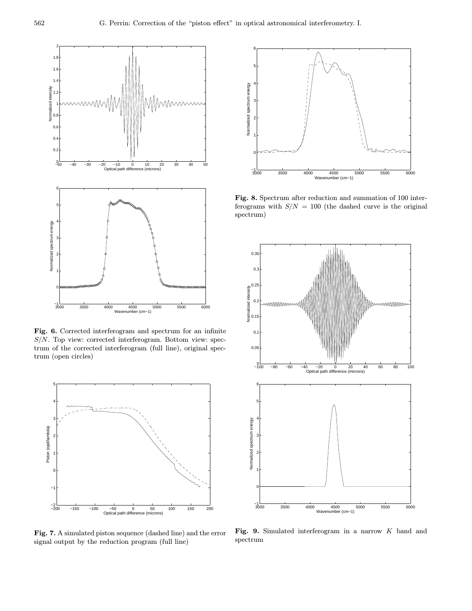

Fig. 6. Corrected interferogram and spectrum for an infinite  $S/N$ . Top view: corrected interferogram. Bottom view: spectrum of the corrected interferogram (full line), original spectrum (open circles)



Fig. 7. A simulated piston sequence (dashed line) and the error signal output by the reduction program (full line)



Fig. 8. Spectrum after reduction and summation of 100 interferograms with  $S/N = 100$  (the dashed curve is the original spectrum)



Fig. 9. Simulated interferogram in a narrow K band and spectrum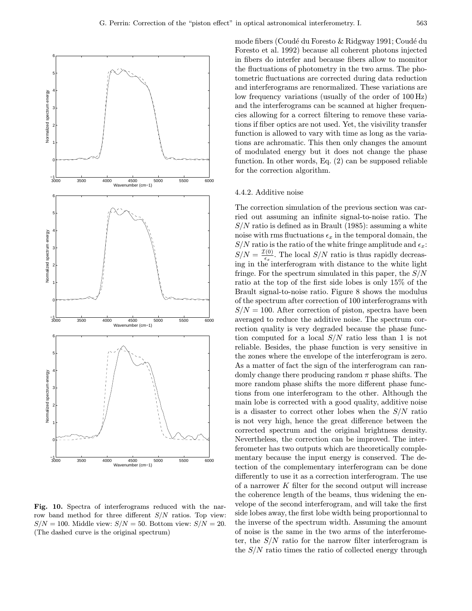

Fig. 10. Spectra of interferograms reduced with the narrow band method for three different S/N ratios. Top view:  $S/N = 100$ . Middle view:  $S/N = 50$ . Bottom view:  $S/N = 20$ . (The dashed curve is the original spectrum)

mode fibers (Coudé du Foresto & Ridgway 1991; Coudé du Foresto et al. 1992) because all coherent photons injected in fibers do interfer and because fibers allow to momitor the fluctuations of photometry in the two arms. The photometric fluctuations are corrected during data reduction and interferograms are renormalized. These variations are low frequency variations (usually of the order of 100 Hz) and the interferograms can be scanned at higher frequencies allowing for a correct filtering to remove these variations if fiber optics are not used. Yet, the visivility transfer function is allowed to vary with time as long as the variations are achromatic. This then only changes the amount of modulated energy but it does not change the phase function. In other words, Eq. (2) can be supposed reliable for the correction algorithm.

#### 4.4.2. Additive noise

The correction simulation of the previous section was carried out assuming an infinite signal-to-noise ratio. The  $S/N$  ratio is defined as in Brault (1985): assuming a white noise with rms fluctuations  $\epsilon_x$  in the temporal domain, the  $S/N$  ratio is the ratio of the white fringe amplitude and  $\epsilon_x$ :  $S/N = \frac{\mathcal{I}(0)}{\epsilon_x}$ . The local  $S/N$  ratio is thus rapidly decreasing in the interferogram with distance to the white light fringe. For the spectrum simulated in this paper, the  $S/N$ ratio at the top of the first side lobes is only 15% of the Brault signal-to-noise ratio. Figure 8 shows the modulus of the spectrum after correction of 100 interferograms with  $S/N = 100$ . After correction of piston, spectra have been averaged to reduce the additive noise. The spectrum correction quality is very degraded because the phase function computed for a local  $S/N$  ratio less than 1 is not reliable. Besides, the phase function is very sensitive in the zones where the envelope of the interferogram is zero. As a matter of fact the sign of the interferogram can randomly change there producing random  $\pi$  phase shifts. The more random phase shifts the more different phase functions from one interferogram to the other. Although the main lobe is corrected with a good quality, additive noise is a disaster to correct other lobes when the  $S/N$  ratio is not very high, hence the great difference between the corrected spectrum and the original brightness density. Nevertheless, the correction can be improved. The interferometer has two outputs which are theoretically complementary because the input energy is conserved. The detection of the complementary interferogram can be done differently to use it as a correction interferogram. The use of a narrower  $K$  filter for the second output will increase the coherence length of the beams, thus widening the envelope of the second interferogram, and will take the first side lobes away, the first lobe width being proportionnal to the inverse of the spectrum width. Assuming the amount of noise is the same in the two arms of the interferometer, the  $S/N$  ratio for the narrow filter interferogram is the  $S/N$  ratio times the ratio of collected energy through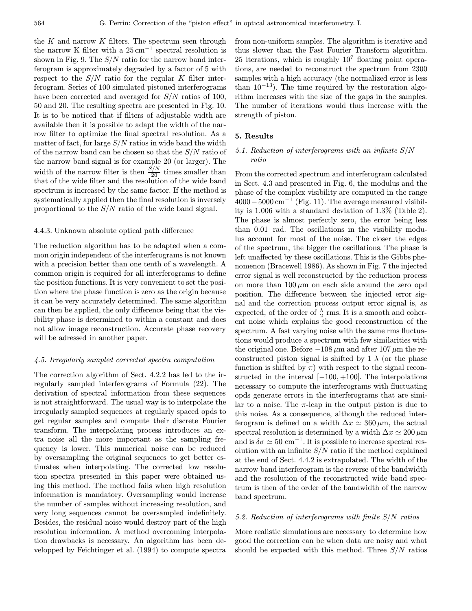the  $K$  and narrow  $K$  filters. The spectrum seen through the narrow K filter with a  $25 \text{ cm}^{-1}$  spectral resolution is shown in Fig. 9. The  $S/N$  ratio for the narrow band interferogram is approximately degraded by a factor of 5 with respect to the  $S/N$  ratio for the regular K filter interferogram. Series of 100 simulated pistoned interferograms have been corrected and averaged for  $S/N$  ratios of 100, 50 and 20. The resulting spectra are presented in Fig. 10. It is to be noticed that if filters of adjustable width are available then it is possible to adapt the width of the narrow filter to optimize the final spectral resolution. As a matter of fact, for large  $S/N$  ratios in wide band the width of the narrow band can be chosen so that the  $S/N$  ratio of the narrow band signal is for example 20 (or larger). The width of the narrow filter is then  $\frac{S/N}{20}$  times smaller than that of the wide filter and the resolution of the wide band spectrum is increased by the same factor. If the method is systematically applied then the final resolution is inversely proportional to the S/N ratio of the wide band signal.

#### 4.4.3. Unknown absolute optical path difference

The reduction algorithm has to be adapted when a common origin independent of the interferograms is not known with a precision better than one tenth of a wavelength. A common origin is required for all interferograms to define the position functions. It is very convenient to set the position where the phase function is zero as the origin because it can be very accurately determined. The same algorithm can then be applied, the only difference being that the visibility phase is determined to within a constant and does not allow image reconstruction. Accurate phase recovery will be adressed in another paper.

#### 4.5. Irregularly sampled corrected spectra computation

The correction algorithm of Sect. 4.2.2 has led to the irregularly sampled interferograms of Formula (22). The derivation of spectral information from these sequences is not straightforward. The usual way is to interpolate the irregularly sampled sequences at regularly spaced opds to get regular samples and compute their discrete Fourier transform. The interpolating process introduces an extra noise all the more important as the sampling frequency is lower. This numerical noise can be reduced by oversampling the original sequences to get better estimates when interpolating. The corrected low resolution spectra presented in this paper were obtained using this method. The method fails when high resolution information is mandatory. Oversampling would increase the number of samples without increasing resolution, and very long sequences cannot be oversampled indefinitely. Besides, the residual noise would destroy part of the high resolution information. A method overcoming interpolation drawbacks is necessary. An algorithm has been developped by Feichtinger et al. (1994) to compute spectra from non-uniform samples. The algorithm is iterative and thus slower than the Fast Fourier Transform algorithm. 25 iterations, which is roughly  $10^7$  floating point operations, are needed to reconstruct the spectrum from 2300 samples with a high accuracy (the normalized error is less than  $10^{-13}$ ). The time required by the restoration algorithm increases with the size of the gaps in the samples. The number of iterations would thus increase with the strength of piston.

## 5. Results

## 5.1. Reduction of interferograms with an infinite S/N ratio

From the corrected spectrum and interferogram calculated in Sect. 4.3 and presented in Fig. 6, the modulus and the phase of the complex visibility are computed in the range  $4000-5000 \text{ cm}^{-1}$  (Fig. 11). The average measured visibility is 1.006 with a standard deviation of 1.3% (Table 2). The phase is almost perfectly zero, the error being less than 0.01 rad. The oscillations in the visibility modulus account for most of the noise. The closer the edges of the spectrum, the bigger the oscillations. The phase is left unaffected by these oscillations. This is the Gibbs phenomenon (Bracewell 1986). As shown in Fig. 7 the injected error signal is well reconstructed by the reduction process on more than  $100 \mu m$  on each side around the zero opd position. The difference between the injected error signal and the correction process output error signal is, as expected, of the order of  $\frac{\lambda}{2}$  rms. It is a smooth and coherent noise which explains the good reconstruction of the spectrum. A fast varying noise with the same rms fluctuations would produce a spectrum with few similarities with the original one. Before  $-108 \mu m$  and after  $107 \mu m$  the reconstructed piston signal is shifted by 1  $\lambda$  (or the phase function is shifted by  $\pi$ ) with respect to the signal reconstructed in the interval  $[-100, +100]$ . The interpolations necessary to compute the interferograms with fluctuating opds generate errors in the interferograms that are similar to a noise. The  $\pi$ -leap in the output piston is due to this noise. As a consequence, although the reduced interferogram is defined on a width  $\Delta x \simeq 360 \,\mu \text{m}$ , the actual spectral resolution is determined by a width  $\Delta x \simeq 200 \,\mu \mathrm{m}$ and is  $\delta \sigma \simeq 50 \text{ cm}^{-1}$ . It is possible to increase spectral resolution with an infinite  $S/N$  ratio if the method explained at the end of Sect. 4.4.2 is extrapolated. The width of the narrow band interferogram is the reverse of the bandwidth and the resolution of the reconstructed wide band spectrum is then of the order of the bandwidth of the narrow band spectrum.

#### 5.2. Reduction of interferograms with finite S/N ratios

More realistic simulations are necessary to determine how good the correction can be when data are noisy and what should be expected with this method. Three  $S/N$  ratios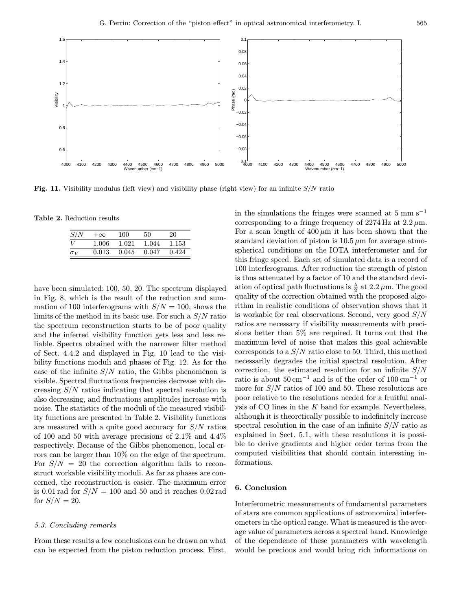

Fig. 11. Visibility modulus (left view) and visibility phase (right view) for an infinite S/N ratio

Table 2. Reduction results

| S/N        | $+\infty$ | 100   | 50    | 20    |
|------------|-----------|-------|-------|-------|
| V          | 1.006     | 1.021 | 1.044 | 1.153 |
| $\sigma_V$ | 0.013     | 0.045 | 0.047 | 0.424 |

have been simulated: 100, 50, 20. The spectrum displayed in Fig. 8, which is the result of the reduction and summation of 100 interferograms with  $S/N = 100$ , shows the limits of the method in its basic use. For such a  $S/N$  ratio the spectrum reconstruction starts to be of poor quality and the inferred visibility function gets less and less reliable. Spectra obtained with the narrower filter method of Sect. 4.4.2 and displayed in Fig. 10 lead to the visibility functions moduli and phases of Fig. 12. As for the case of the infinite  $S/N$  ratio, the Gibbs phenomenon is visible. Spectral fluctuations frequencies decrease with decreasing  $S/N$  ratios indicating that spectral resolution is also decreasing, and fluctuations amplitudes increase with noise. The statistics of the moduli of the measured visibility functions are presented in Table 2. Visibility functions are measured with a quite good accuracy for  $S/N$  ratios of 100 and 50 with average precisions of 2.1% and 4.4% respectively. Because of the Gibbs phenomenon, local errors can be larger than 10% on the edge of the spectrum. For  $S/N = 20$  the correction algorithm fails to reconstruct workable visibility moduli. As far as phases are concerned, the reconstruction is easier. The maximum error is 0.01 rad for  $S/N = 100$  and 50 and it reaches 0.02 rad for  $S/N = 20$ .

#### 5.3. Concluding remarks

From these results a few conclusions can be drawn on what can be expected from the piston reduction process. First,

in the simulations the fringes were scanned at  $5 \text{ mm s}^{-1}$ corresponding to a fringe frequency of  $2274 \text{ Hz}$  at  $2.2 \mu \text{m}$ . For a scan length of  $400 \mu m$  it has been shown that the standard deviation of piston is  $10.5 \mu m$  for average atmospherical conditions on the IOTA interferometer and for this fringe speed. Each set of simulated data is a record of 100 interferograms. After reduction the strength of piston is thus attenuated by a factor of 10 and the standard deviation of optical path fluctuations is  $\frac{\lambda}{2}$  at 2.2  $\mu$ m. The good quality of the correction obtained with the proposed algorithm in realistic conditions of observation shows that it is workable for real observations. Second, very good  $S/N$ ratios are necessary if visibility measurements with precisions better than 5% are required. It turns out that the maximum level of noise that makes this goal achievable corresponds to a  $S/N$  ratio close to 50. Third, this method necessarily degrades the initial spectral resolution. After correction, the estimated resolution for an infinite  $S/N$ ratio is about  $50 \text{ cm}^{-1}$  and is of the order of  $100 \text{ cm}^{-1}$  or more for  $S/N$  ratios of 100 and 50. These resolutions are poor relative to the resolutions needed for a fruitful analysis of CO lines in the  $K$  band for example. Nevertheless, although it is theoretically possible to indefinitely increase spectral resolution in the case of an infinite  $S/N$  ratio as explained in Sect. 5.1, with these resolutions it is possible to derive gradients and higher order terms from the computed visibilities that should contain interesting informations.

#### 6. Conclusion

Interferometric measurements of fundamental parameters of stars are common applications of astronomical interferometers in the optical range. What is measured is the average value of parameters across a spectral band. Knowledge of the dependence of these parameters with wavelength would be precious and would bring rich informations on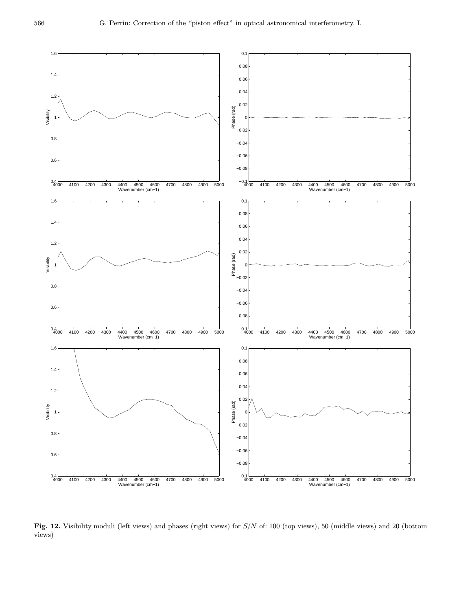

Fig. 12. Visibility moduli (left views) and phases (right views) for  $S/N$  of: 100 (top views), 50 (middle views) and 20 (bottom views)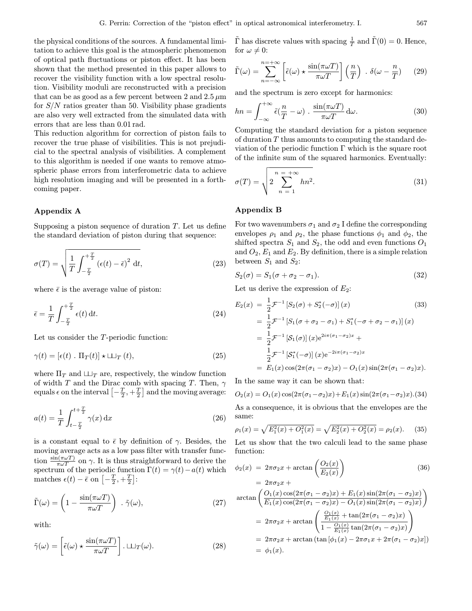the physical conditions of the sources. A fundamental limitation to achieve this goal is the atmospheric phenomenon of optical path fluctuations or piston effect. It has been shown that the method presented in this paper allows to recover the visibility function with a low spectral resolution. Visibility moduli are reconstructed with a precision that can be as good as a few percent between 2 and  $2.5 \,\mu m$ for  $S/N$  ratios greater than 50. Visibility phase gradients are also very well extracted from the simulated data with errors that are less than 0.01 rad.

This reduction algorithm for correction of piston fails to recover the true phase of visibilities. This is not prejudicial to the spectral analysis of visibilities. A complement to this algorithm is needed if one wants to remove atmospheric phase errors from interferometric data to achieve high resolution imaging and will be presented in a forthcoming paper.

#### Appendix A

Supposing a piston sequence of duration  $T$ . Let us define the standard deviation of piston during that sequence:

$$
\sigma(T) = \sqrt{\frac{1}{T} \int_{-\frac{T}{2}}^{\frac{T}{2}} (\epsilon(t) - \bar{\epsilon})^2 dt},
$$
\n(23)

where  $\bar{\epsilon}$  is the average value of piston:

$$
\bar{\epsilon} = \frac{1}{T} \int_{-\frac{T}{2}}^{\frac{T}{2}} \epsilon(t) dt.
$$
\n(24)

Let us consider the T-periodic function:

$$
\gamma(t) = [\epsilon(t) \cdot \Pi_T(t)] \star \sqcup_T (t), \qquad (25)
$$

where  $\Pi_T$  and  $\sqcup \sqcup_T$  are, respectively, the window function of width T and the Dirac comb with spacing T. Then,  $\gamma$ equals  $\epsilon$  on the interval  $\left[-\frac{T}{2}, +\frac{T}{2}\right]$  and the moving average:

$$
a(t) = \frac{1}{T} \int_{t - \frac{T}{2}}^{t + \frac{T}{2}} \gamma(x) dx
$$
 (26)

is a constant equal to  $\bar{\epsilon}$  by definition of  $\gamma$ . Besides, the moving average acts as a low pass filter with transfer function  $\frac{\sin(\pi\omega T)}{\pi\omega T}$  on  $\gamma$ . It is thus straightforward to derive the spectrum of the periodic function  $\Gamma(t) = \gamma(t) - a(t)$  which matches  $\epsilon(t) - \bar{\epsilon}$  on  $\left[-\frac{T}{2}, +\frac{T}{2}\right]$ :

$$
\tilde{\Gamma}(\omega) = \left(1 - \frac{\sin(\pi \omega T)}{\pi \omega T}\right) \cdot \tilde{\gamma}(\omega),\tag{27}
$$

with:

$$
\tilde{\gamma}(\omega) = \left[\tilde{\epsilon}(\omega) \star \frac{\sin(\pi \omega T)}{\pi \omega T}\right] \cdot \Box T(\omega). \tag{28}
$$

 $\tilde{\Gamma}$  has discrete values with spacing  $\frac{1}{T}$  and  $\tilde{\Gamma}(0) = 0$ . Hence, for  $\omega \neq 0$ :

$$
\tilde{\Gamma}(\omega) = \sum_{n=-\infty}^{n=-\infty} \left[ \tilde{\epsilon}(\omega) \star \frac{\sin(\pi \omega T)}{\pi \omega T} \right] \left( \frac{n}{T} \right) . \delta(\omega - \frac{n}{T}) \tag{29}
$$

and the spectrum is zero except for harmonics:

$$
hn = \int_{-\infty}^{+\infty} \tilde{\epsilon} \left(\frac{n}{T} - \omega\right) \cdot \frac{\sin(\pi \omega T)}{\pi \omega T} d\omega.
$$
 (30)

Computing the standard deviation for a piston sequence of duration  $T$  thus amounts to computing the standard deviation of the periodic function  $\Gamma$  which is the square root of the infinite sum of the squared harmonics. Eventually:

$$
\sigma(T) = \sqrt{2 \sum_{n=1}^{n=+\infty} h n^2}.
$$
\n(31)

#### Appendix B

For two wavenumbers  $\sigma_1$  and  $\sigma_2$  I define the corresponding envelopes  $\rho_1$  and  $\rho_2$ , the phase functions  $\phi_1$  and  $\phi_2$ , the shifted spectra  $S_1$  and  $S_2$ , the odd and even functions  $O_1$ and  $O_2$ ,  $E_1$  and  $E_2$ . By definition, there is a simple relation between  $\mathcal{S}_1$  and  $\mathcal{S}_2$  :

$$
S_2(\sigma) = S_1(\sigma + \sigma_2 - \sigma_1). \tag{32}
$$

Let us derive the expression of  $E_2$ :

$$
E_2(x) = \frac{1}{2} \mathcal{F}^{-1} \left[ S_2(\sigma) + S_2^*(-\sigma) \right](x)
$$
(33)  
=  $\frac{1}{2} \mathcal{F}^{-1} \left[ S_1(\sigma + \sigma_2 - \sigma_1) + S_1^*(-\sigma + \sigma_2 - \sigma_1) \right](x)$   
=  $\frac{1}{2} \mathcal{F}^{-1} \left[ S_1(\sigma) \right](x) e^{2i\pi(\sigma_1 - \sigma_2)x} +$   
 $\frac{1}{2} \mathcal{F}^{-1} \left[ S_1^*(-\sigma) \right](x) e^{-2i\pi(\sigma_1 - \sigma_2)x}$   
=  $E_1(x) \cos(2\pi(\sigma_1 - \sigma_2)x) - O_1(x) \sin(2\pi(\sigma_1 - \sigma_2)x).$ 

In the same way it can be shown that:

$$
O_2(x) = O_1(x) \cos(2\pi(\sigma_1 - \sigma_2)x) + E_1(x) \sin(2\pi(\sigma_1 - \sigma_2)x). (34)
$$

As a consequence, it is obvious that the envelopes are the same:

$$
\rho_1(x) = \sqrt{E_1^2(x) + O_1^2(x)} = \sqrt{E_2^2(x) + O_2^2(x)} = \rho_2(x). \tag{35}
$$

Let us show that the two calculi lead to the same phase function:

$$
\phi_2(x) = 2\pi\sigma_2 x + \arctan\left(\frac{O_2(x)}{E_2(x)}\right) \tag{36}
$$

$$
= 2\pi\sigma_2 x + \cdots
$$

$$
\arctan\left(\frac{O_1(x)\cos(2\pi(\sigma_1-\sigma_2)x)+E_1(x)\sin(2\pi(\sigma_1-\sigma_2)x)}{E_1(x)\cos(2\pi(\sigma_1-\sigma_2)x)-O_1(x)\sin(2\pi(\sigma_1-\sigma_2)x)}\right)
$$
  
=  $2\pi\sigma_2x + \arctan\left(\frac{\frac{O_1(x)}{E_1(x)} + \tan(2\pi(\sigma_1-\sigma_2)x)}{1-\frac{O_1(x)}{E_1(x)}\tan(2\pi(\sigma_1-\sigma_2)x)}\right)$   
=  $2\pi\sigma_2x + \arctan(\tan[\phi_1(x)-2\pi\sigma_1x+2\pi(\sigma_1-\sigma_2)x])$   
=  $\phi_1(x).$